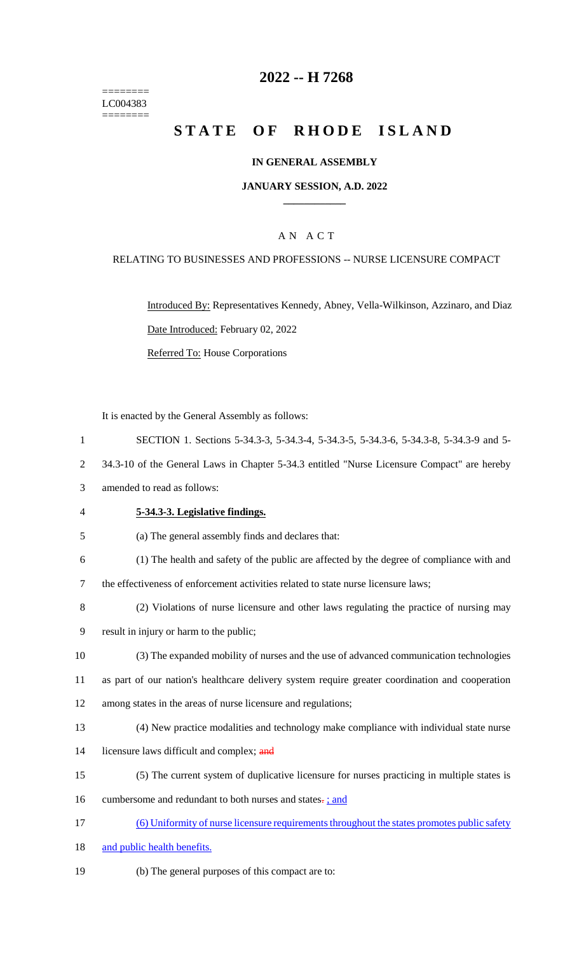======== LC004383  $=$ 

# **2022 -- H 7268**

# **STATE OF RHODE ISLAND**

# **IN GENERAL ASSEMBLY**

#### **JANUARY SESSION, A.D. 2022 \_\_\_\_\_\_\_\_\_\_\_\_**

### A N A C T

### RELATING TO BUSINESSES AND PROFESSIONS -- NURSE LICENSURE COMPACT

Introduced By: Representatives Kennedy, Abney, Vella-Wilkinson, Azzinaro, and Diaz Date Introduced: February 02, 2022 Referred To: House Corporations

|              | It is enacted by the General Assembly as follows:                                                  |
|--------------|----------------------------------------------------------------------------------------------------|
| $\mathbf{1}$ | SECTION 1. Sections 5-34.3-3, 5-34.3-4, 5-34.3-5, 5-34.3-6, 5-34.3-8, 5-34.3-9 and 5-              |
| 2            | 34.3-10 of the General Laws in Chapter 5-34.3 entitled "Nurse Licensure Compact" are hereby        |
| 3            | amended to read as follows:                                                                        |
| 4            | 5-34.3-3. Legislative findings.                                                                    |
| 5            | (a) The general assembly finds and declares that:                                                  |
| 6            | (1) The health and safety of the public are affected by the degree of compliance with and          |
| 7            | the effectiveness of enforcement activities related to state nurse licensure laws;                 |
| 8            | (2) Violations of nurse licensure and other laws regulating the practice of nursing may            |
| 9            | result in injury or harm to the public;                                                            |
| 10           | (3) The expanded mobility of nurses and the use of advanced communication technologies             |
| 11           | as part of our nation's healthcare delivery system require greater coordination and cooperation    |
| 12           | among states in the areas of nurse licensure and regulations;                                      |
| 13           | (4) New practice modalities and technology make compliance with individual state nurse             |
| 14           | licensure laws difficult and complex; and                                                          |
| 15           | (5) The current system of duplicative licensure for nurses practicing in multiple states is        |
| 16           | cumbersome and redundant to both nurses and states-; and                                           |
| 17           | <u>(6) Uniformity of nurse licensure requirements throughout the states promotes public safety</u> |
| 18           | and public health benefits.                                                                        |

19 (b) The general purposes of this compact are to: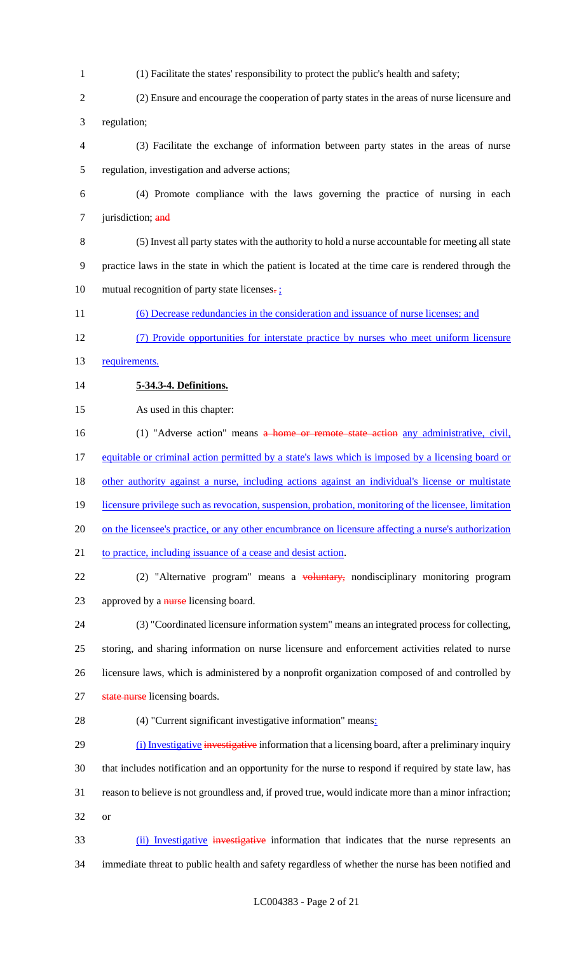- (1) Facilitate the states' responsibility to protect the public's health and safety;
- (2) Ensure and encourage the cooperation of party states in the areas of nurse licensure and regulation;
- (3) Facilitate the exchange of information between party states in the areas of nurse regulation, investigation and adverse actions;
- (4) Promote compliance with the laws governing the practice of nursing in each 7 jurisdiction; and
- (5) Invest all party states with the authority to hold a nurse accountable for meeting all state practice laws in the state in which the patient is located at the time care is rendered through the 10 mutual recognition of party state licenses. $\frac{1}{2}$
- (6) Decrease redundancies in the consideration and issuance of nurse licenses; and
- (7) Provide opportunities for interstate practice by nurses who meet uniform licensure
- 13 requirements.
- **5-34.3-4. Definitions.**
- As used in this chapter:
- 16 (1) "Adverse action" means a home or remote state action any administrative, civil, equitable or criminal action permitted by a state's laws which is imposed by a licensing board or other authority against a nurse, including actions against an individual's license or multistate 19 licensure privilege such as revocation, suspension, probation, monitoring of the licensee, limitation on the licensee's practice, or any other encumbrance on licensure affecting a nurse's authorization 21 to practice, including issuance of a cease and desist action. 22 (2) "Alternative program" means a voluntary, nondisciplinary monitoring program 23 approved by a nurse licensing board.
- (3) "Coordinated licensure information system" means an integrated process for collecting, storing, and sharing information on nurse licensure and enforcement activities related to nurse licensure laws, which is administered by a nonprofit organization composed of and controlled by 27 state nurse licensing boards.
- (4) "Current significant investigative information" means:
- 29 (i) Investigative investigative information that a licensing board, after a preliminary inquiry that includes notification and an opportunity for the nurse to respond if required by state law, has reason to believe is not groundless and, if proved true, would indicate more than a minor infraction; or
- 33 (ii) Investigative investigative information that indicates that the nurse represents an immediate threat to public health and safety regardless of whether the nurse has been notified and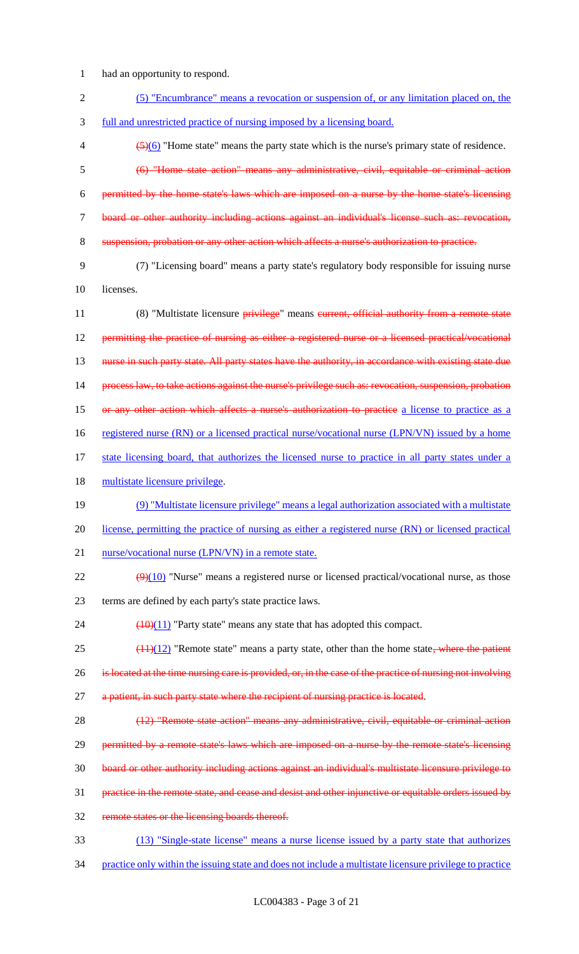1 had an opportunity to respond.

| (5) "Encumbrance" means a revocation or suspension of, or any limitation placed on, the                       |
|---------------------------------------------------------------------------------------------------------------|
| full and unrestricted practice of nursing imposed by a licensing board.                                       |
| $\frac{5(6)}{2(6)}$ "Home state" means the party state which is the nurse's primary state of residence.       |
| (6) "Home state action" means any administrative, civil, equitable or criminal action                         |
| permitted by the home state's laws which are imposed on a nurse by the home state's licensing                 |
| board or other authority including actions against an individual's license such as: revocation,               |
| suspension, probation or any other action which affects a nurse's authorization to practice.                  |
| (7) "Licensing board" means a party state's regulatory body responsible for issuing nurse                     |
| licenses.                                                                                                     |
| (8) "Multistate licensure privilege" means eurrent, official authority from a remote state                    |
| permitting the practice of nursing as either a registered nurse or a licensed practical/vocational            |
| nurse in such party state. All party states have the authority, in accordance with existing state due         |
| process law, to take actions against the nurse's privilege such as: revocation, suspension, probation         |
| or any other action which affects a nurse's authorization to practice a license to practice as a              |
| registered nurse (RN) or a licensed practical nurse/vocational nurse (LPN/VN) issued by a home                |
| state licensing board, that authorizes the licensed nurse to practice in all party states under a             |
| multistate licensure privilege.                                                                               |
| (9) "Multistate licensure privilege" means a legal authorization associated with a multistate                 |
| license, permitting the practice of nursing as either a registered nurse (RN) or licensed practical           |
| nurse/vocational nurse (LPN/VN) in a remote state.                                                            |
| $\left(\frac{9}{10}\right)$ "Nurse" means a registered nurse or licensed practical/vocational nurse, as those |
| terms are defined by each party's state practice laws.                                                        |
| $\frac{(10)(11)}{2}$ "Party state" means any state that has adopted this compact.                             |
| $(11)(12)$ "Remote state" means a party state, other than the home state, where the patient                   |
| is located at the time nursing care is provided, or, in the case of the practice of nursing not involving     |
| a patient, in such party state where the recipient of nursing practice is located.                            |
| (12) "Remote state action" means any administrative, civil, equitable or criminal action                      |
| permitted by a remote state's laws which are imposed on a nurse by the remote state's licensing               |
| board or other authority including actions against an individual's multistate licensure privilege to          |
| practice in the remote state, and cease and desist and other injunctive or equitable orders issued by         |
| remote states or the licensing boards thereof.                                                                |
| (13) "Single-state license" means a nurse license issued by a party state that authorizes                     |
|                                                                                                               |

34 practice only within the issuing state and does not include a multistate licensure privilege to practice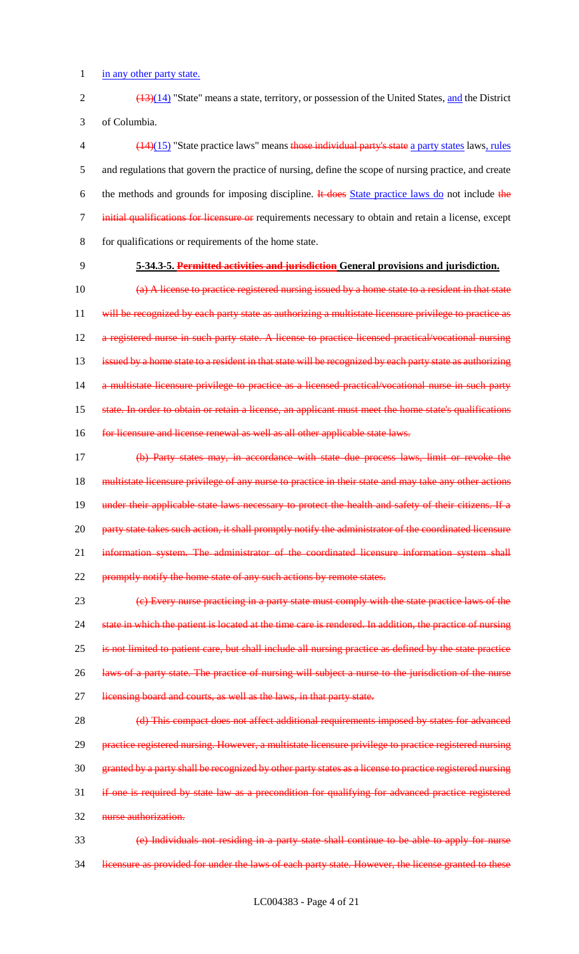1 in any other party state.

2 (13)(14) "State" means a state, territory, or possession of the United States, and the District 3 of Columbia.

 (14)(15) "State practice laws" means those individual party's state a party states laws, rules and regulations that govern the practice of nursing, define the scope of nursing practice, and create 6 the methods and grounds for imposing discipline. It does State practice laws do not include the initial qualifications for licensure or requirements necessary to obtain and retain a license, except for qualifications or requirements of the home state.

# 9 **5-34.3-5. Permitted activities and jurisdiction General provisions and jurisdiction.**

10 (a) A license to practice registered nursing issued by a home state to a resident in that state 11 will be recognized by each party state as authorizing a multistate licensure privilege to practice as 12 a registered nurse in such party state. A license to practice licensed practical/vocational nursing 13 issued by a home state to a resident in that state will be recognized by each party state as authorizing 14 a multistate licensure privilege to practice as a licensed practical/vocational nurse in such party 15 state. In order to obtain or retain a license, an applicant must meet the home state's qualifications 16 for licensure and license renewal as well as all other applicable state laws.

17 (b) Party states may, in accordance with state due process laws, limit or revoke the 18 multistate licensure privilege of any nurse to practice in their state and may take any other actions 19 under their applicable state laws necessary to protect the health and safety of their citizens. If a 20 party state takes such action, it shall promptly notify the administrator of the coordinated licensure 21 information system. The administrator of the coordinated licensure information system shall 22 promptly notify the home state of any such actions by remote states.

23 (c) Every nurse practicing in a party state must comply with the state practice laws of the 24 state in which the patient is located at the time care is rendered. In addition, the practice of nursing 25 is not limited to patient care, but shall include all nursing practice as defined by the state practice 26 laws of a party state. The practice of nursing will subject a nurse to the jurisdiction of the nurse 27 licensing board and courts, as well as the laws, in that party state.

28 (d) This compact does not affect additional requirements imposed by states for advanced 29 practice registered nursing. However, a multistate licensure privilege to practice registered nursing 30 granted by a party shall be recognized by other party states as a license to practice registered nursing 31 if one is required by state law as a precondition for qualifying for advanced practice registered 32 nurse authorization.

33 (e) Individuals not residing in a party state shall continue to be able to apply for nurse 34 licensure as provided for under the laws of each party state. However, the license granted to these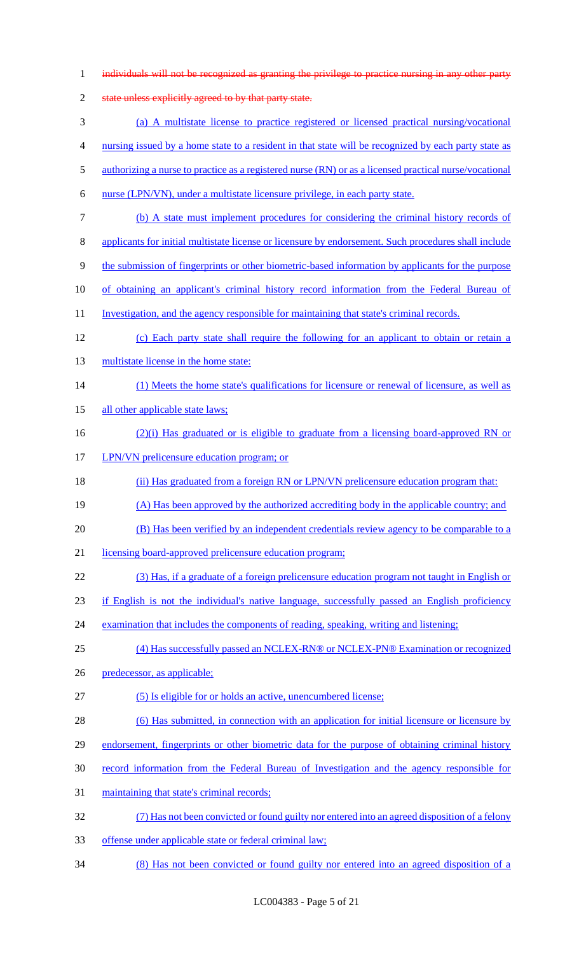| $\mathbf{1}$   | individuals will not be recognized as granting the privilege to practice nursing in any other party    |
|----------------|--------------------------------------------------------------------------------------------------------|
| $\overline{2}$ | state unless explicitly agreed to by that party state.                                                 |
| 3              | (a) A multistate license to practice registered or licensed practical nursing/vocational               |
| 4              | nursing issued by a home state to a resident in that state will be recognized by each party state as   |
| 5              | authorizing a nurse to practice as a registered nurse (RN) or as a licensed practical nurse/vocational |
| 6              | nurse (LPN/VN), under a multistate licensure privilege, in each party state.                           |
| 7              | (b) A state must implement procedures for considering the criminal history records of                  |
| 8              | applicants for initial multistate license or licensure by endorsement. Such procedures shall include   |
| 9              | the submission of fingerprints or other biometric-based information by applicants for the purpose      |
| 10             | of obtaining an applicant's criminal history record information from the Federal Bureau of             |
| 11             | Investigation, and the agency responsible for maintaining that state's criminal records.               |
| 12             | (c) Each party state shall require the following for an applicant to obtain or retain a                |
| 13             | multistate license in the home state:                                                                  |
| 14             | (1) Meets the home state's qualifications for licensure or renewal of licensure, as well as            |
| 15             | all other applicable state laws;                                                                       |
| 16             | $(2)(i)$ Has graduated or is eligible to graduate from a licensing board-approved RN or                |
| 17             | LPN/VN prelicensure education program; or                                                              |
| 18             | (ii) Has graduated from a foreign RN or LPN/VN prelicensure education program that:                    |
| 19             | (A) Has been approved by the authorized accrediting body in the applicable country; and                |
| 20             | (B) Has been verified by an independent credentials review agency to be comparable to a                |
| 21             | licensing board-approved prelicensure education program;                                               |
| 22             | (3) Has, if a graduate of a foreign prelicensure education program not taught in English or            |
| 23             | if English is not the individual's native language, successfully passed an English proficiency         |
| 24             | examination that includes the components of reading, speaking, writing and listening;                  |
| 25             | (4) Has successfully passed an NCLEX-RN® or NCLEX-PN® Examination or recognized                        |
| 26             | predecessor, as applicable;                                                                            |
| 27             | (5) Is eligible for or holds an active, unencumbered license;                                          |
| 28             | (6) Has submitted, in connection with an application for initial licensure or licensure by             |
| 29             | endorsement, fingerprints or other biometric data for the purpose of obtaining criminal history        |
| 30             | record information from the Federal Bureau of Investigation and the agency responsible for             |
| 31             | maintaining that state's criminal records;                                                             |
| 32             | (7) Has not been convicted or found guilty nor entered into an agreed disposition of a felony          |
| 33             | offense under applicable state or federal criminal law;                                                |
| 34             | (8) Has not been convicted or found guilty nor entered into an agreed disposition of a                 |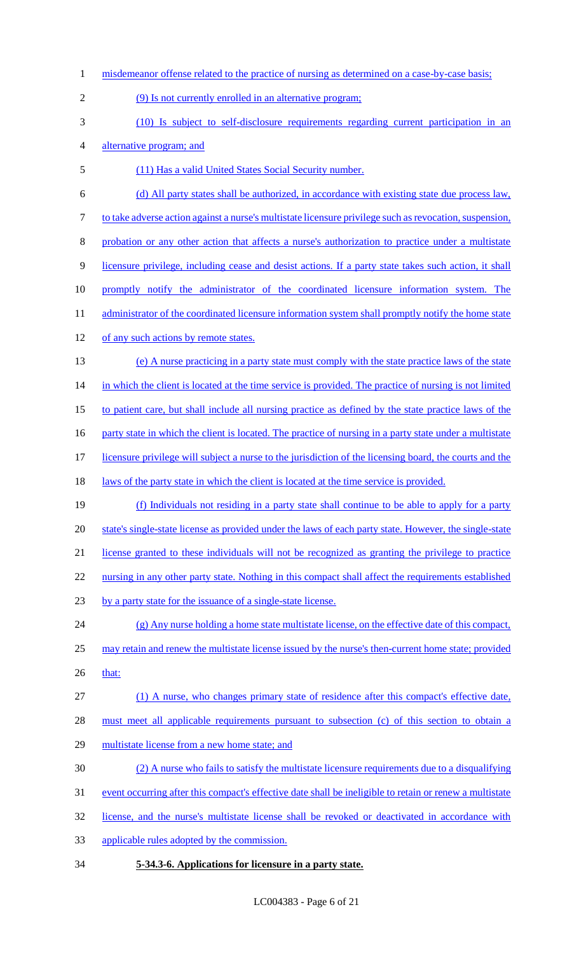1 misdemeanor offense related to the practice of nursing as determined on a case-by-case basis; (9) Is not currently enrolled in an alternative program; (10) Is subject to self-disclosure requirements regarding current participation in an alternative program; and (11) Has a valid United States Social Security number. (d) All party states shall be authorized, in accordance with existing state due process law, to take adverse action against a nurse's multistate licensure privilege such as revocation, suspension, probation or any other action that affects a nurse's authorization to practice under a multistate licensure privilege, including cease and desist actions. If a party state takes such action, it shall 10 promptly notify the administrator of the coordinated licensure information system. The 11 administrator of the coordinated licensure information system shall promptly notify the home state 12 of any such actions by remote states. (e) A nurse practicing in a party state must comply with the state practice laws of the state 14 in which the client is located at the time service is provided. The practice of nursing is not limited to patient care, but shall include all nursing practice as defined by the state practice laws of the 16 party state in which the client is located. The practice of nursing in a party state under a multistate licensure privilege will subject a nurse to the jurisdiction of the licensing board, the courts and the 18 laws of the party state in which the client is located at the time service is provided. (f) Individuals not residing in a party state shall continue to be able to apply for a party state's single-state license as provided under the laws of each party state. However, the single-state license granted to these individuals will not be recognized as granting the privilege to practice 22 nursing in any other party state. Nothing in this compact shall affect the requirements established by a party state for the issuance of a single-state license. (g) Any nurse holding a home state multistate license, on the effective date of this compact, may retain and renew the multistate license issued by the nurse's then-current home state; provided 26 that: (1) A nurse, who changes primary state of residence after this compact's effective date, must meet all applicable requirements pursuant to subsection (c) of this section to obtain a multistate license from a new home state; and (2) A nurse who fails to satisfy the multistate licensure requirements due to a disqualifying 31 event occurring after this compact's effective date shall be ineligible to retain or renew a multistate license, and the nurse's multistate license shall be revoked or deactivated in accordance with applicable rules adopted by the commission. **5-34.3-6. Applications for licensure in a party state.**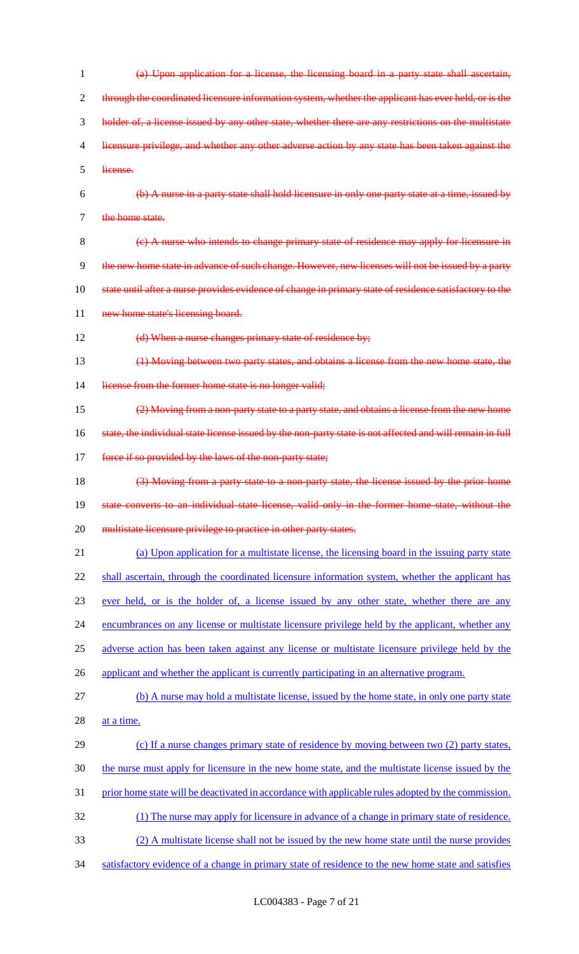| 1  | (a) Upon application for a license, the licensing board in a party state shall ascertain,                 |
|----|-----------------------------------------------------------------------------------------------------------|
| 2  | through the coordinated licensure information system, whether the applicant has ever held, or is the      |
| 3  | holder of, a license issued by any other state, whether there are any restrictions on the multistate      |
| 4  | licensure privilege, and whether any other adverse action by any state has been taken against the         |
| 5  | license.                                                                                                  |
| 6  | (b) A nurse in a party state shall hold licensure in only one party state at a time, issued by            |
| 7  | the home state.                                                                                           |
| 8  | (e) A nurse who intends to change primary state of residence may apply for licensure in                   |
| 9  | the new home state in advance of such change. However, new licenses will not be issued by a party         |
| 10 | state until after a nurse provides evidence of change in primary state of residence satisfactory to the   |
| 11 | new home state's licensing board.                                                                         |
| 12 | (d) When a nurse changes primary state of residence by;                                                   |
| 13 | (1) Moving between two party states, and obtains a license from the new home state, the                   |
| 14 | license from the former home state is no longer valid;                                                    |
| 15 | (2) Moving from a non-party state to a party state, and obtains a license from the new home               |
| 16 | state, the individual state license issued by the non-party state is not affected and will remain in full |
| 17 | force if so provided by the laws of the non-party state;                                                  |
| 18 | (3) Moving from a party state to a non-party state, the license issued by the prior home                  |
| 19 | state converts to an individual state license, valid only in the former home state, without the           |
| 20 | multistate licensure privilege to practice in other party states.                                         |
| 21 | (a) Upon application for a multistate license, the licensing board in the issuing party state             |
| 22 | shall ascertain, through the coordinated licensure information system, whether the applicant has          |
| 23 |                                                                                                           |
|    | ever held, or is the holder of, a license issued by any other state, whether there are any                |
| 24 | encumbrances on any license or multistate licensure privilege held by the applicant, whether any          |
| 25 | adverse action has been taken against any license or multistate licensure privilege held by the           |
| 26 | applicant and whether the applicant is currently participating in an alternative program.                 |
| 27 | (b) A nurse may hold a multistate license, issued by the home state, in only one party state              |
| 28 | at a time.                                                                                                |
| 29 | (c) If a nurse changes primary state of residence by moving between two (2) party states,                 |
| 30 | the nurse must apply for licensure in the new home state, and the multistate license issued by the        |
| 31 | prior home state will be deactivated in accordance with applicable rules adopted by the commission.       |
| 32 | (1) The nurse may apply for licensure in advance of a change in primary state of residence.               |
| 33 | (2) A multistate license shall not be issued by the new home state until the nurse provides               |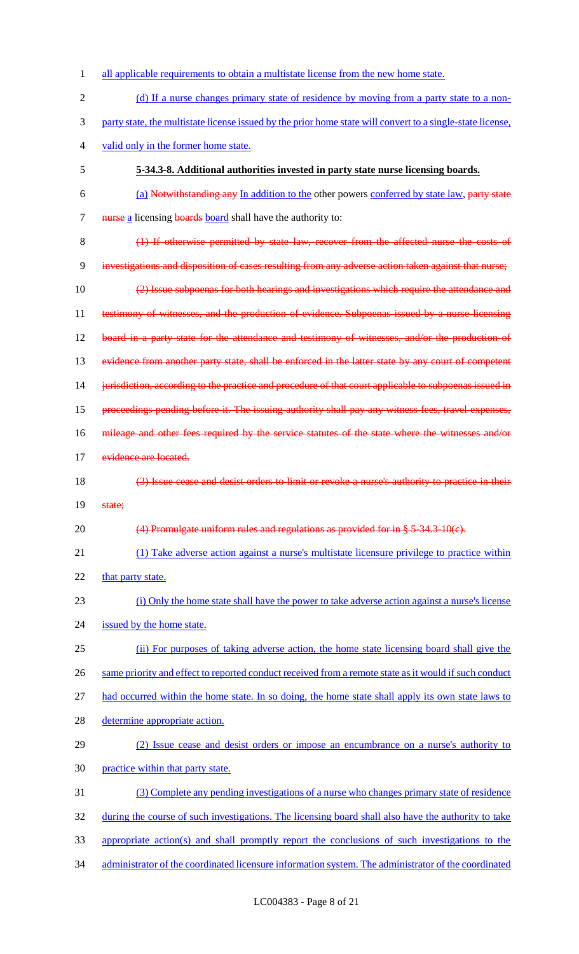| 1              | all applicable requirements to obtain a multistate license from the new home state.                        |
|----------------|------------------------------------------------------------------------------------------------------------|
| $\overline{2}$ | (d) If a nurse changes primary state of residence by moving from a party state to a non-                   |
| 3              | party state, the multistate license issued by the prior home state will convert to a single-state license, |
| $\overline{4}$ | valid only in the former home state.                                                                       |
| 5              | 5-34.3-8. Additional authorities invested in party state nurse licensing boards.                           |
| 6              | (a) Notwithstanding any In addition to the other powers conferred by state law, party state                |
| $\tau$         | nurse a licensing boards board shall have the authority to:                                                |
| 8              | (1) If otherwise permitted by state law, recover from the affected nurse the costs of                      |
| 9              | investigations and disposition of cases resulting from any adverse action taken against that nurse;        |
| 10             | (2) Issue subpoenas for both hearings and investigations which require the attendance and                  |
| 11             | testimony of witnesses, and the production of evidence. Subpoenas issued by a nurse licensing              |
| 12             | board in a party state for the attendance and testimony of witnesses, and/or the production of             |
| 13             | evidence from another party state, shall be enforced in the latter state by any court of competent         |
| 14             | jurisdiction, according to the practice and procedure of that court applicable to subpoenas issued in      |
| 15             | proceedings pending before it. The issuing authority shall pay any witness fees, travel expenses,          |
| 16             | mileage and other fees required by the service statutes of the state where the witnesses and/or            |
| 17             | evidence are located.                                                                                      |
| 18             | (3) Issue cease and desist orders to limit or revoke a nurse's authority to practice in their              |
| 19             | state;                                                                                                     |
| 20             | $(4)$ Promulgate uniform rules and regulations as provided for in § 5-34.3-10(c).                          |
| 21             | (1) Take adverse action against a nurse's multistate licensure privilege to practice within                |
| 22             | that party state.                                                                                          |
| 23             | (i) Only the home state shall have the power to take adverse action against a nurse's license              |
| 24             | issued by the home state.                                                                                  |
| 25             | (ii) For purposes of taking adverse action, the home state licensing board shall give the                  |
| 26             | same priority and effect to reported conduct received from a remote state as it would if such conduct      |
| 27             | had occurred within the home state. In so doing, the home state shall apply its own state laws to          |
| 28             | determine appropriate action.                                                                              |
| 29             | (2) Issue cease and desist orders or impose an encumbrance on a nurse's authority to                       |
| 30             | practice within that party state.                                                                          |
| 31             | (3) Complete any pending investigations of a nurse who changes primary state of residence                  |
| 32             | during the course of such investigations. The licensing board shall also have the authority to take        |
| 33             |                                                                                                            |
|                | appropriate action(s) and shall promptly report the conclusions of such investigations to the              |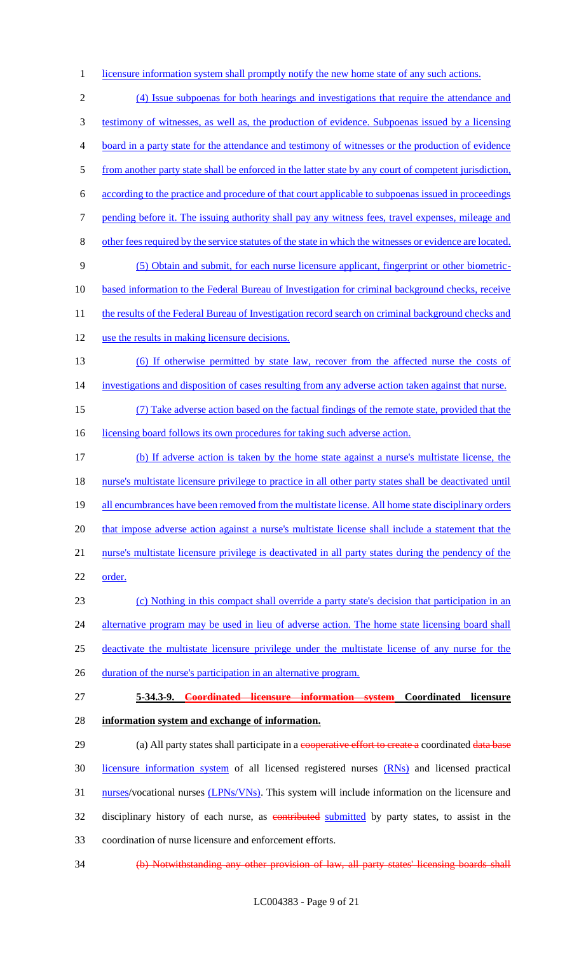1 licensure information system shall promptly notify the new home state of any such actions.

 (4) Issue subpoenas for both hearings and investigations that require the attendance and testimony of witnesses, as well as, the production of evidence. Subpoenas issued by a licensing board in a party state for the attendance and testimony of witnesses or the production of evidence from another party state shall be enforced in the latter state by any court of competent jurisdiction, according to the practice and procedure of that court applicable to subpoenas issued in proceedings 7 pending before it. The issuing authority shall pay any witness fees, travel expenses, mileage and other fees required by the service statutes of the state in which the witnesses or evidence are located. (5) Obtain and submit, for each nurse licensure applicant, fingerprint or other biometric- based information to the Federal Bureau of Investigation for criminal background checks, receive 11 the results of the Federal Bureau of Investigation record search on criminal background checks and use the results in making licensure decisions. (6) If otherwise permitted by state law, recover from the affected nurse the costs of 14 investigations and disposition of cases resulting from any adverse action taken against that nurse. (7) Take adverse action based on the factual findings of the remote state, provided that the 16 licensing board follows its own procedures for taking such adverse action. (b) If adverse action is taken by the home state against a nurse's multistate license, the nurse's multistate licensure privilege to practice in all other party states shall be deactivated until 19 all encumbrances have been removed from the multistate license. All home state disciplinary orders 20 that impose adverse action against a nurse's multistate license shall include a statement that the nurse's multistate licensure privilege is deactivated in all party states during the pendency of the 22 order. (c) Nothing in this compact shall override a party state's decision that participation in an 24 alternative program may be used in lieu of adverse action. The home state licensing board shall deactivate the multistate licensure privilege under the multistate license of any nurse for the 26 duration of the nurse's participation in an alternative program.

27 **5-34.3-9. Coordinated licensure information system Coordinated licensure**  28 **information system and exchange of information.**

29 (a) All party states shall participate in a cooperative effort to create a coordinated data base 30 licensure information system of all licensed registered nurses (RNs) and licensed practical 31 nurses/vocational nurses (LPNs/VNs). This system will include information on the licensure and 32 disciplinary history of each nurse, as contributed submitted by party states, to assist in the 33 coordination of nurse licensure and enforcement efforts.

34 (b) Notwithstanding any other provision of law, all party states' licensing boards shall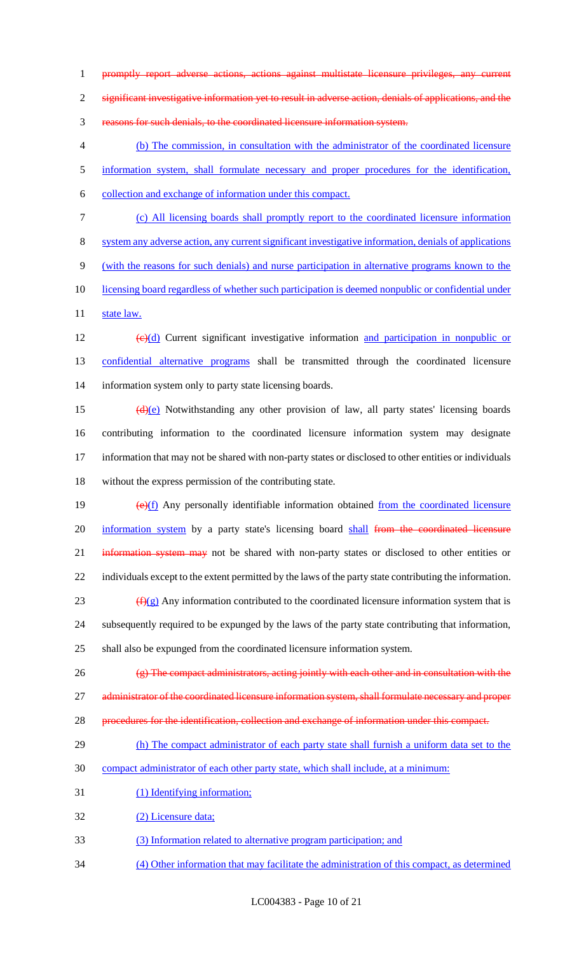promptly report adverse actions, actions against multistate licensure privileges, any current

significant investigative information yet to result in adverse action, denials of applications, and the

reasons for such denials, to the coordinated licensure information system.

 (b) The commission, in consultation with the administrator of the coordinated licensure information system, shall formulate necessary and proper procedures for the identification, collection and exchange of information under this compact.

(c) All licensing boards shall promptly report to the coordinated licensure information

system any adverse action, any current significant investigative information, denials of applications

(with the reasons for such denials) and nurse participation in alternative programs known to the

10 licensing board regardless of whether such participation is deemed nonpublic or confidential under

11 state law.

12  $\left(\frac{e}{d}\right)$  Current significant investigative information and participation in nonpublic or confidential alternative programs shall be transmitted through the coordinated licensure information system only to party state licensing boards.

 $(d)(e)$  Notwithstanding any other provision of law, all party states' licensing boards contributing information to the coordinated licensure information system may designate information that may not be shared with non-party states or disclosed to other entities or individuals without the express permission of the contributing state.

 $\left(\frac{e}{f}\right)$  Any personally identifiable information obtained from the coordinated licensure 20 information system by a party state's licensing board shall from the coordinated licensure 21 information system may not be shared with non-party states or disclosed to other entities or individuals except to the extent permitted by the laws of the party state contributing the information.  $(f)(g)$  Any information contributed to the coordinated licensure information system that is subsequently required to be expunged by the laws of the party state contributing that information,

shall also be expunged from the coordinated licensure information system.

(g) The compact administrators, acting jointly with each other and in consultation with the

27 administrator of the coordinated licensure information system, shall formulate necessary and proper

- procedures for the identification, collection and exchange of information under this compact.
- 29 (h) The compact administrator of each party state shall furnish a uniform data set to the
- compact administrator of each other party state, which shall include, at a minimum:
- 31 (1) Identifying information;

(2) Licensure data;

- (3) Information related to alternative program participation; and
- (4) Other information that may facilitate the administration of this compact, as determined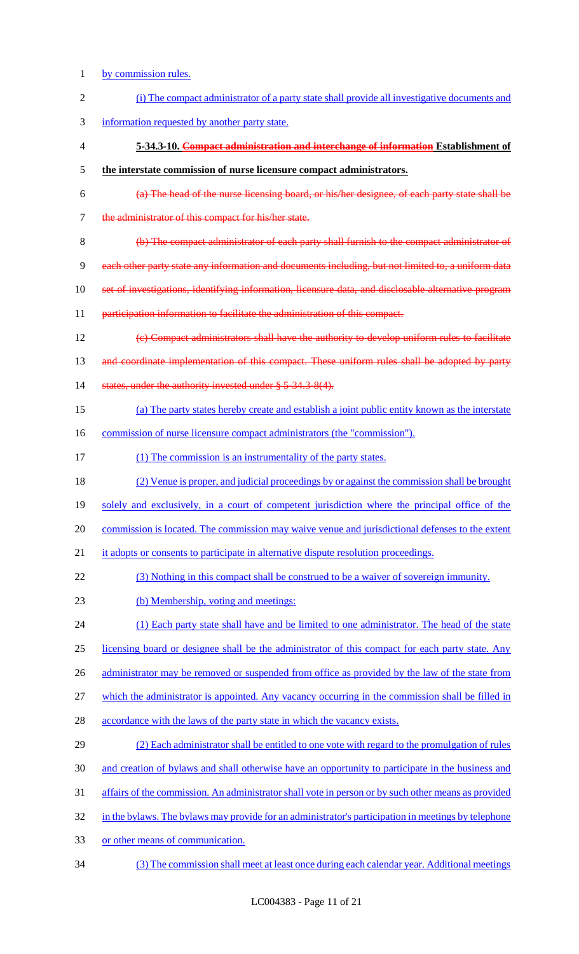- by commission rules.
- (i) The compact administrator of a party state shall provide all investigative documents and information requested by another party state. **5-34.3-10. Compact administration and interchange of information Establishment of the interstate commission of nurse licensure compact administrators.** (a) The head of the nurse licensing board, or his/her designee, of each party state shall be the administrator of this compact for his/her state. (b) The compact administrator of each party shall furnish to the compact administrator of each other party state any information and documents including, but not limited to, a uniform data set of investigations, identifying information, licensure data, and disclosable alternative program 11 participation information to facilitate the administration of this compact. (c) Compact administrators shall have the authority to develop uniform rules to facilitate 13 and coordinate implementation of this compact. These uniform rules shall be adopted by party 14 states, under the authority invested under § 5-34.3-8(4). (a) The party states hereby create and establish a joint public entity known as the interstate 16 commission of nurse licensure compact administrators (the "commission"). 17 (1) The commission is an instrumentality of the party states. (2) Venue is proper, and judicial proceedings by or against the commission shall be brought solely and exclusively, in a court of competent jurisdiction where the principal office of the commission is located. The commission may waive venue and jurisdictional defenses to the extent 21 it adopts or consents to participate in alternative dispute resolution proceedings. (3) Nothing in this compact shall be construed to be a waiver of sovereign immunity. (b) Membership, voting and meetings: 24 (1) Each party state shall have and be limited to one administrator. The head of the state licensing board or designee shall be the administrator of this compact for each party state. Any 26 administrator may be removed or suspended from office as provided by the law of the state from which the administrator is appointed. Any vacancy occurring in the commission shall be filled in 28 accordance with the laws of the party state in which the vacancy exists. (2) Each administrator shall be entitled to one vote with regard to the promulgation of rules and creation of bylaws and shall otherwise have an opportunity to participate in the business and affairs of the commission. An administrator shall vote in person or by such other means as provided 32 in the bylaws. The bylaws may provide for an administrator's participation in meetings by telephone or other means of communication. (3) The commission shall meet at least once during each calendar year. Additional meetings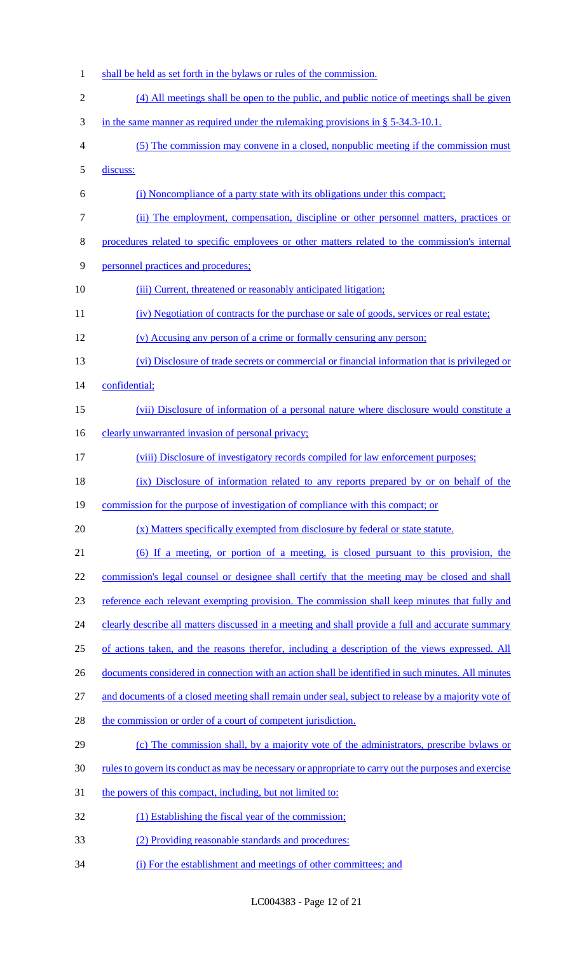shall be held as set forth in the bylaws or rules of the commission. (4) All meetings shall be open to the public, and public notice of meetings shall be given in the same manner as required under the rulemaking provisions in § 5-34.3-10.1. (5) The commission may convene in a closed, nonpublic meeting if the commission must discuss: (i) Noncompliance of a party state with its obligations under this compact; (ii) The employment, compensation, discipline or other personnel matters, practices or procedures related to specific employees or other matters related to the commission's internal personnel practices and procedures; 10 (iii) Current, threatened or reasonably anticipated litigation; 11 (iv) Negotiation of contracts for the purchase or sale of goods, services or real estate; (v) Accusing any person of a crime or formally censuring any person; (vi) Disclosure of trade secrets or commercial or financial information that is privileged or confidential; (vii) Disclosure of information of a personal nature where disclosure would constitute a 16 clearly unwarranted invasion of personal privacy; (viii) Disclosure of investigatory records compiled for law enforcement purposes; 18 (ix) Disclosure of information related to any reports prepared by or on behalf of the 19 commission for the purpose of investigation of compliance with this compact; or (x) Matters specifically exempted from disclosure by federal or state statute. (6) If a meeting, or portion of a meeting, is closed pursuant to this provision, the commission's legal counsel or designee shall certify that the meeting may be closed and shall reference each relevant exempting provision. The commission shall keep minutes that fully and 24 clearly describe all matters discussed in a meeting and shall provide a full and accurate summary of actions taken, and the reasons therefor, including a description of the views expressed. All 26 documents considered in connection with an action shall be identified in such minutes. All minutes and documents of a closed meeting shall remain under seal, subject to release by a majority vote of 28 the commission or order of a court of competent jurisdiction. (c) The commission shall, by a majority vote of the administrators, prescribe bylaws or rules to govern its conduct as may be necessary or appropriate to carry out the purposes and exercise 31 the powers of this compact, including, but not limited to: 32 (1) Establishing the fiscal year of the commission; (2) Providing reasonable standards and procedures: (i) For the establishment and meetings of other committees; and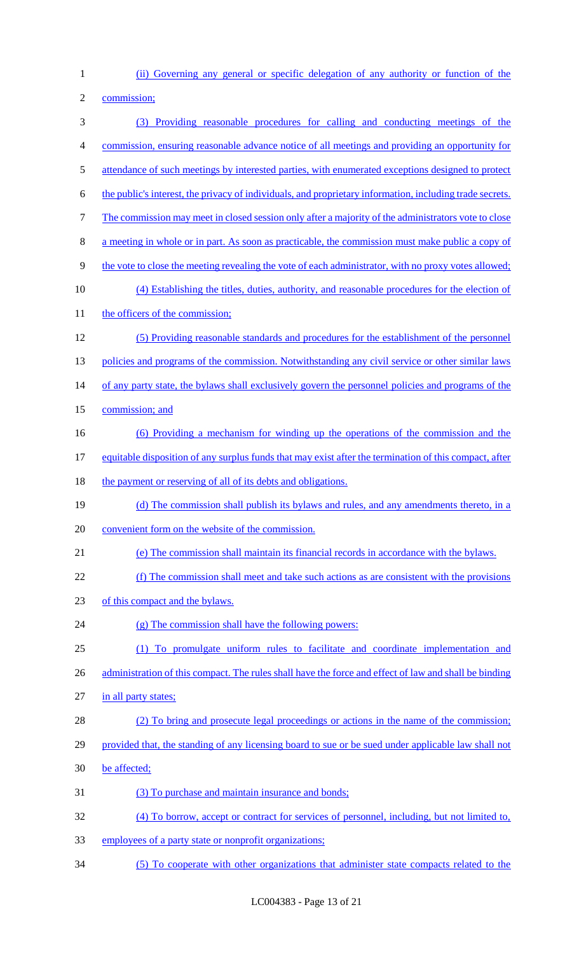(ii) Governing any general or specific delegation of any authority or function of the

commission;

 (3) Providing reasonable procedures for calling and conducting meetings of the commission, ensuring reasonable advance notice of all meetings and providing an opportunity for 5 attendance of such meetings by interested parties, with enumerated exceptions designed to protect the public's interest, the privacy of individuals, and proprietary information, including trade secrets. The commission may meet in closed session only after a majority of the administrators vote to close a meeting in whole or in part. As soon as practicable, the commission must make public a copy of the vote to close the meeting revealing the vote of each administrator, with no proxy votes allowed; (4) Establishing the titles, duties, authority, and reasonable procedures for the election of 11 the officers of the commission; (5) Providing reasonable standards and procedures for the establishment of the personnel 13 policies and programs of the commission. Notwithstanding any civil service or other similar laws 14 of any party state, the bylaws shall exclusively govern the personnel policies and programs of the commission; and (6) Providing a mechanism for winding up the operations of the commission and the equitable disposition of any surplus funds that may exist after the termination of this compact, after 18 the payment or reserving of all of its debts and obligations. 19 (d) The commission shall publish its bylaws and rules, and any amendments thereto, in a convenient form on the website of the commission. (e) The commission shall maintain its financial records in accordance with the bylaws. (f) The commission shall meet and take such actions as are consistent with the provisions of this compact and the bylaws. (g) The commission shall have the following powers: (1) To promulgate uniform rules to facilitate and coordinate implementation and 26 administration of this compact. The rules shall have the force and effect of law and shall be binding 27 in all party states; (2) To bring and prosecute legal proceedings or actions in the name of the commission; 29 provided that, the standing of any licensing board to sue or be sued under applicable law shall not be affected; (3) To purchase and maintain insurance and bonds; (4) To borrow, accept or contract for services of personnel, including, but not limited to, employees of a party state or nonprofit organizations; (5) To cooperate with other organizations that administer state compacts related to the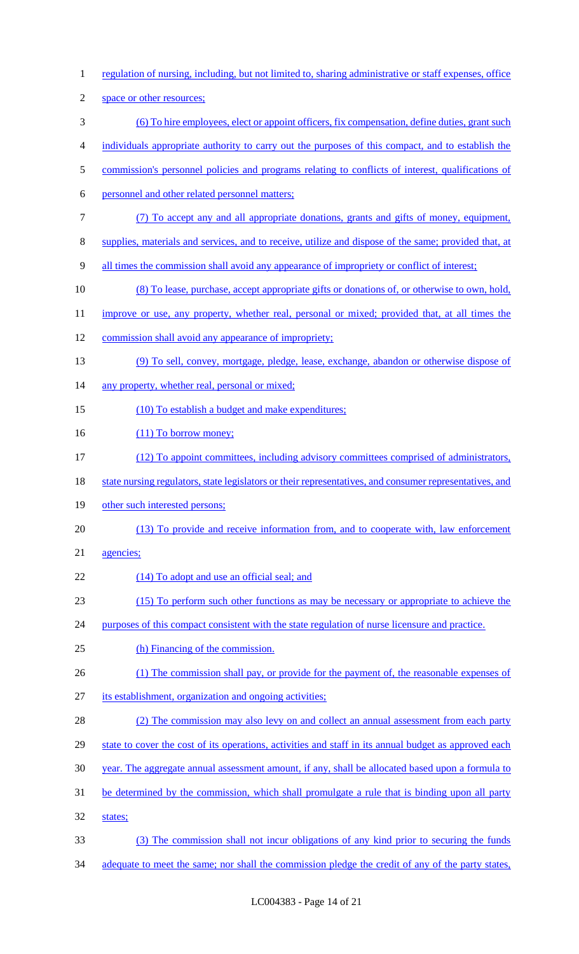regulation of nursing, including, but not limited to, sharing administrative or staff expenses, office space or other resources; (6) To hire employees, elect or appoint officers, fix compensation, define duties, grant such individuals appropriate authority to carry out the purposes of this compact, and to establish the 5 commission's personnel policies and programs relating to conflicts of interest, qualifications of personnel and other related personnel matters; (7) To accept any and all appropriate donations, grants and gifts of money, equipment, supplies, materials and services, and to receive, utilize and dispose of the same; provided that, at all times the commission shall avoid any appearance of impropriety or conflict of interest; (8) To lease, purchase, accept appropriate gifts or donations of, or otherwise to own, hold, 11 improve or use, any property, whether real, personal or mixed; provided that, at all times the commission shall avoid any appearance of impropriety; (9) To sell, convey, mortgage, pledge, lease, exchange, abandon or otherwise dispose of 14 any property, whether real, personal or mixed; 15 (10) To establish a budget and make expenditures; 16 (11) To borrow money; (12) To appoint committees, including advisory committees comprised of administrators, 18 state nursing regulators, state legislators or their representatives, and consumer representatives, and other such interested persons; (13) To provide and receive information from, and to cooperate with, law enforcement agencies; 22 (14) To adopt and use an official seal; and (15) To perform such other functions as may be necessary or appropriate to achieve the 24 purposes of this compact consistent with the state regulation of nurse licensure and practice. (h) Financing of the commission. 26 (1) The commission shall pay, or provide for the payment of, the reasonable expenses of its establishment, organization and ongoing activities; 28 (2) The commission may also levy on and collect an annual assessment from each party 29 state to cover the cost of its operations, activities and staff in its annual budget as approved each year. The aggregate annual assessment amount, if any, shall be allocated based upon a formula to be determined by the commission, which shall promulgate a rule that is binding upon all party states; (3) The commission shall not incur obligations of any kind prior to securing the funds 34 adequate to meet the same; nor shall the commission pledge the credit of any of the party states,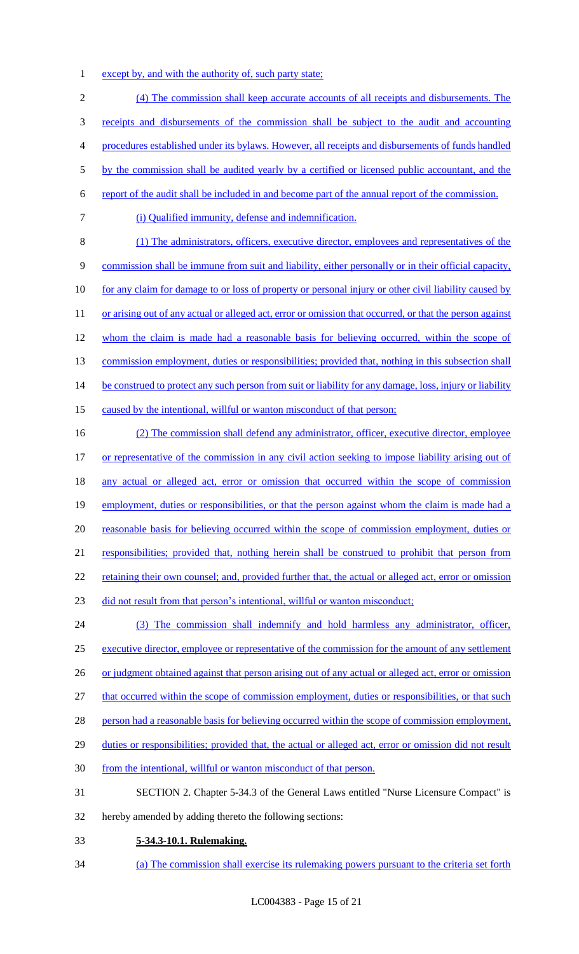1 except by, and with the authority of, such party state;

2 (4) The commission shall keep accurate accounts of all receipts and disbursements. The 3 receipts and disbursements of the commission shall be subject to the audit and accounting 4 procedures established under its bylaws. However, all receipts and disbursements of funds handled 5 by the commission shall be audited yearly by a certified or licensed public accountant, and the 6 report of the audit shall be included in and become part of the annual report of the commission. 7 (i) Qualified immunity, defense and indemnification. 8 (1) The administrators, officers, executive director, employees and representatives of the 9 commission shall be immune from suit and liability, either personally or in their official capacity, 10 for any claim for damage to or loss of property or personal injury or other civil liability caused by 11 or arising out of any actual or alleged act, error or omission that occurred, or that the person against 12 whom the claim is made had a reasonable basis for believing occurred, within the scope of 13 commission employment, duties or responsibilities; provided that, nothing in this subsection shall 14 be construed to protect any such person from suit or liability for any damage, loss, injury or liability 15 caused by the intentional, willful or wanton misconduct of that person; 16 (2) The commission shall defend any administrator, officer, executive director, employee 17 or representative of the commission in any civil action seeking to impose liability arising out of 18 any actual or alleged act, error or omission that occurred within the scope of commission 19 employment, duties or responsibilities, or that the person against whom the claim is made had a 20 reasonable basis for believing occurred within the scope of commission employment, duties or 21 responsibilities; provided that, nothing herein shall be construed to prohibit that person from 22 retaining their own counsel; and, provided further that, the actual or alleged act, error or omission

23 did not result from that person's intentional, willful or wanton misconduct;

24 (3) The commission shall indemnify and hold harmless any administrator, officer, 25 executive director, employee or representative of the commission for the amount of any settlement 26 or judgment obtained against that person arising out of any actual or alleged act, error or omission 27 that occurred within the scope of commission employment, duties or responsibilities, or that such 28 person had a reasonable basis for believing occurred within the scope of commission employment, 29 duties or responsibilities; provided that, the actual or alleged act, error or omission did not result 30 from the intentional, willful or wanton misconduct of that person.

- 31 SECTION 2. Chapter 5-34.3 of the General Laws entitled "Nurse Licensure Compact" is
- 32 hereby amended by adding thereto the following sections:
- 33 **5-34.3-10.1. Rulemaking.**
- 34 (a) The commission shall exercise its rulemaking powers pursuant to the criteria set forth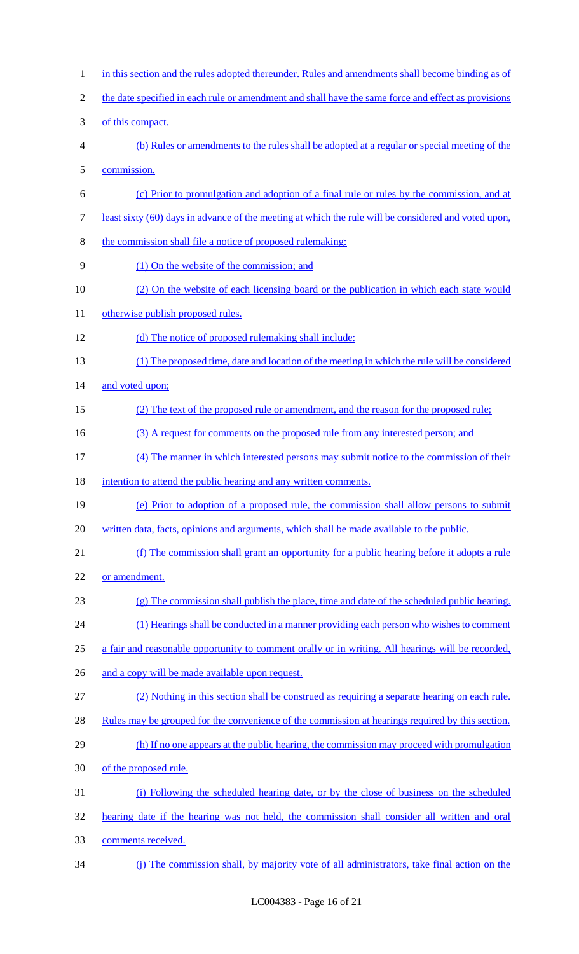1 in this section and the rules adopted thereunder. Rules and amendments shall become binding as of 2 the date specified in each rule or amendment and shall have the same force and effect as provisions of this compact. (b) Rules or amendments to the rules shall be adopted at a regular or special meeting of the commission. (c) Prior to promulgation and adoption of a final rule or rules by the commission, and at least sixty (60) days in advance of the meeting at which the rule will be considered and voted upon, the commission shall file a notice of proposed rulemaking: (1) On the website of the commission; and 10 (2) On the website of each licensing board or the publication in which each state would 11 otherwise publish proposed rules. 12 (d) The notice of proposed rulemaking shall include: (1) The proposed time, date and location of the meeting in which the rule will be considered 14 and voted upon; 15 (2) The text of the proposed rule or amendment, and the reason for the proposed rule; 16 (3) A request for comments on the proposed rule from any interested person; and (4) The manner in which interested persons may submit notice to the commission of their 18 intention to attend the public hearing and any written comments. (e) Prior to adoption of a proposed rule, the commission shall allow persons to submit written data, facts, opinions and arguments, which shall be made available to the public. (f) The commission shall grant an opportunity for a public hearing before it adopts a rule or amendment. (g) The commission shall publish the place, time and date of the scheduled public hearing. 24 (1) Hearings shall be conducted in a manner providing each person who wishes to comment a fair and reasonable opportunity to comment orally or in writing. All hearings will be recorded, 26 and a copy will be made available upon request. (2) Nothing in this section shall be construed as requiring a separate hearing on each rule. 28 Rules may be grouped for the convenience of the commission at hearings required by this section. 29 (h) If no one appears at the public hearing, the commission may proceed with promulgation of the proposed rule. (i) Following the scheduled hearing date, or by the close of business on the scheduled hearing date if the hearing was not held, the commission shall consider all written and oral comments received. (j) The commission shall, by majority vote of all administrators, take final action on the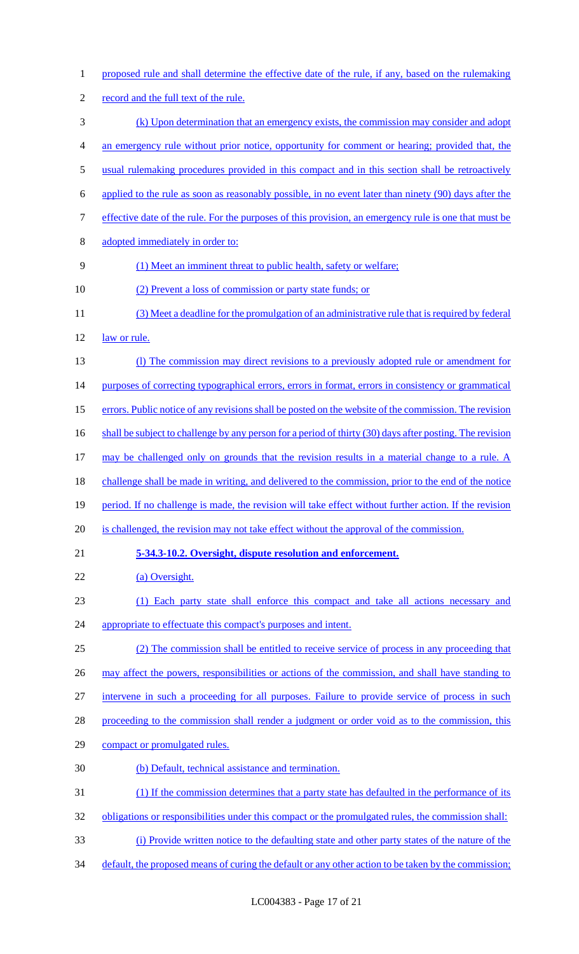proposed rule and shall determine the effective date of the rule, if any, based on the rulemaking record and the full text of the rule. (k) Upon determination that an emergency exists, the commission may consider and adopt an emergency rule without prior notice, opportunity for comment or hearing; provided that, the usual rulemaking procedures provided in this compact and in this section shall be retroactively applied to the rule as soon as reasonably possible, in no event later than ninety (90) days after the effective date of the rule. For the purposes of this provision, an emergency rule is one that must be adopted immediately in order to: (1) Meet an imminent threat to public health, safety or welfare; 10 (2) Prevent a loss of commission or party state funds; or (3) Meet a deadline for the promulgation of an administrative rule that is required by federal 12 law or rule. (l) The commission may direct revisions to a previously adopted rule or amendment for 14 purposes of correcting typographical errors, errors in format, errors in consistency or grammatical 15 errors. Public notice of any revisions shall be posted on the website of the commission. The revision 16 shall be subject to challenge by any person for a period of thirty (30) days after posting. The revision may be challenged only on grounds that the revision results in a material change to a rule. A challenge shall be made in writing, and delivered to the commission, prior to the end of the notice 19 period. If no challenge is made, the revision will take effect without further action. If the revision 20 is challenged, the revision may not take effect without the approval of the commission. **5-34.3-10.2. Oversight, dispute resolution and enforcement.**  22 (a) Oversight. (1) Each party state shall enforce this compact and take all actions necessary and 24 appropriate to effectuate this compact's purposes and intent. (2) The commission shall be entitled to receive service of process in any proceeding that 26 may affect the powers, responsibilities or actions of the commission, and shall have standing to intervene in such a proceeding for all purposes. Failure to provide service of process in such 28 proceeding to the commission shall render a judgment or order void as to the commission, this compact or promulgated rules. (b) Default, technical assistance and termination. (1) If the commission determines that a party state has defaulted in the performance of its 32 obligations or responsibilities under this compact or the promulgated rules, the commission shall: (i) Provide written notice to the defaulting state and other party states of the nature of the 34 default, the proposed means of curing the default or any other action to be taken by the commission;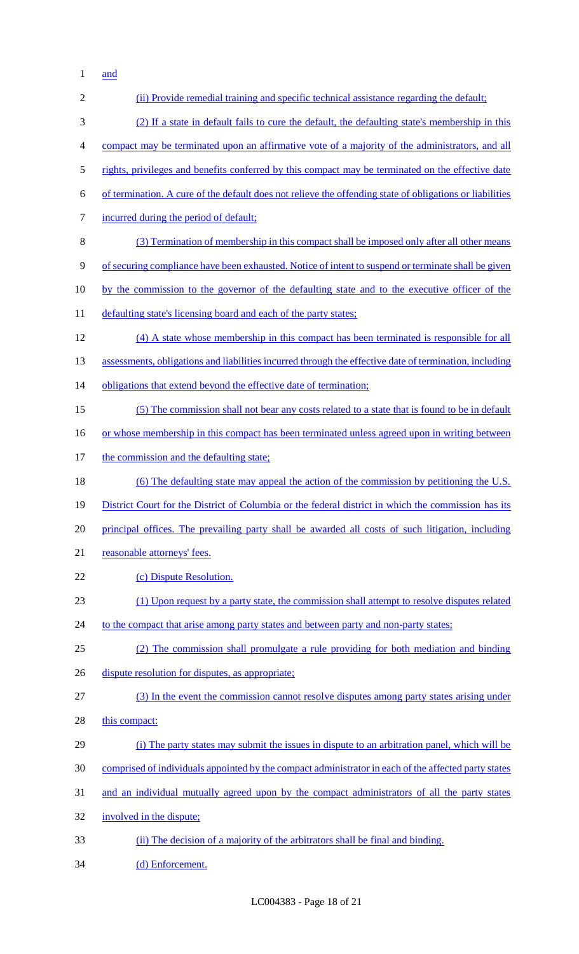and

| $\overline{2}$ | (ii) Provide remedial training and specific technical assistance regarding the default;                  |
|----------------|----------------------------------------------------------------------------------------------------------|
| 3              | (2) If a state in default fails to cure the default, the defaulting state's membership in this           |
| $\overline{4}$ | compact may be terminated upon an affirmative vote of a majority of the administrators, and all          |
| $\mathfrak s$  | rights, privileges and benefits conferred by this compact may be terminated on the effective date        |
| 6              | of termination. A cure of the default does not relieve the offending state of obligations or liabilities |
| $\tau$         | incurred during the period of default;                                                                   |
| 8              | (3) Termination of membership in this compact shall be imposed only after all other means                |
| 9              | of securing compliance have been exhausted. Notice of intent to suspend or terminate shall be given      |
| 10             | by the commission to the governor of the defaulting state and to the executive officer of the            |
| 11             | defaulting state's licensing board and each of the party states;                                         |
| 12             | (4) A state whose membership in this compact has been terminated is responsible for all                  |
| 13             | assessments, obligations and liabilities incurred through the effective date of termination, including   |
| 14             | obligations that extend beyond the effective date of termination;                                        |
| 15             | (5) The commission shall not bear any costs related to a state that is found to be in default            |
| 16             | or whose membership in this compact has been terminated unless agreed upon in writing between            |
| 17             | the commission and the defaulting state;                                                                 |
| 18             | (6) The defaulting state may appeal the action of the commission by petitioning the U.S.                 |
| 19             | District Court for the District of Columbia or the federal district in which the commission has its      |
| 20             | principal offices. The prevailing party shall be awarded all costs of such litigation, including         |
| 21             | reasonable attorneys' fees.                                                                              |
| 22             | (c) Dispute Resolution.                                                                                  |
| 23             | (1) Upon request by a party state, the commission shall attempt to resolve disputes related              |
| 24             | to the compact that arise among party states and between party and non-party states;                     |
| 25             | (2) The commission shall promulgate a rule providing for both mediation and binding                      |
| 26             | dispute resolution for disputes, as appropriate;                                                         |
| 27             | (3) In the event the commission cannot resolve disputes among party states arising under                 |
| 28             | this compact:                                                                                            |
| 29             | (i) The party states may submit the issues in dispute to an arbitration panel, which will be             |
| 30             | comprised of individuals appointed by the compact administrator in each of the affected party states     |
| 31             | and an individual mutually agreed upon by the compact administrators of all the party states             |
| 32             | involved in the dispute;                                                                                 |
| 33             | (ii) The decision of a majority of the arbitrators shall be final and binding.                           |
| 34             | (d) Enforcement.                                                                                         |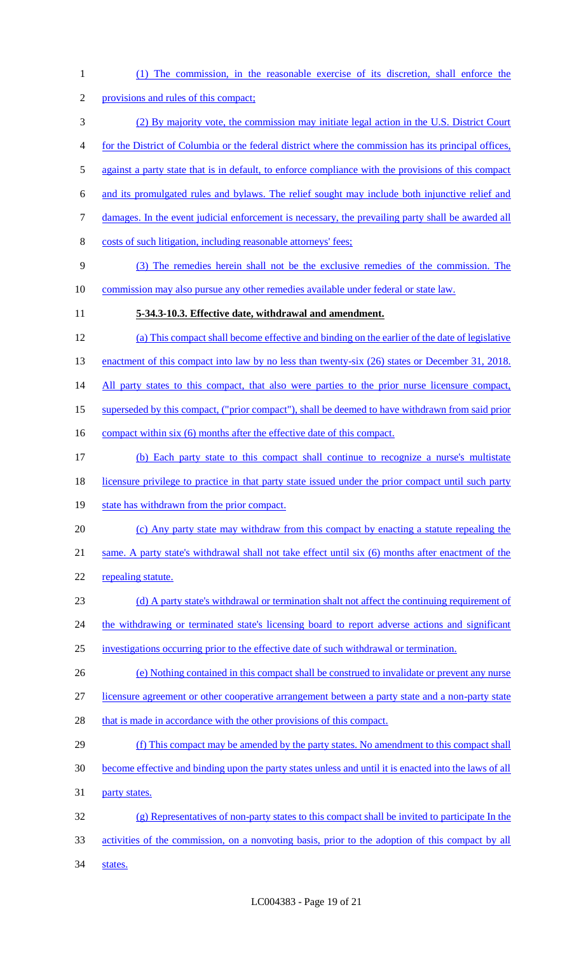(1) The commission, in the reasonable exercise of its discretion, shall enforce the provisions and rules of this compact; (2) By majority vote, the commission may initiate legal action in the U.S. District Court for the District of Columbia or the federal district where the commission has its principal offices, against a party state that is in default, to enforce compliance with the provisions of this compact and its promulgated rules and bylaws. The relief sought may include both injunctive relief and damages. In the event judicial enforcement is necessary, the prevailing party shall be awarded all costs of such litigation, including reasonable attorneys' fees; (3) The remedies herein shall not be the exclusive remedies of the commission. The commission may also pursue any other remedies available under federal or state law. **5-34.3-10.3. Effective date, withdrawal and amendment.**  (a) This compact shall become effective and binding on the earlier of the date of legislative 13 enactment of this compact into law by no less than twenty-six (26) states or December 31, 2018. 14 All party states to this compact, that also were parties to the prior nurse licensure compact, superseded by this compact, ("prior compact"), shall be deemed to have withdrawn from said prior 16 compact within six (6) months after the effective date of this compact. (b) Each party state to this compact shall continue to recognize a nurse's multistate licensure privilege to practice in that party state issued under the prior compact until such party 19 state has withdrawn from the prior compact. (c) Any party state may withdraw from this compact by enacting a statute repealing the same. A party state's withdrawal shall not take effect until six (6) months after enactment of the 22 repealing statute. 23 (d) A party state's withdrawal or termination shalt not affect the continuing requirement of 24 the withdrawing or terminated state's licensing board to report adverse actions and significant investigations occurring prior to the effective date of such withdrawal or termination. (e) Nothing contained in this compact shall be construed to invalidate or prevent any nurse licensure agreement or other cooperative arrangement between a party state and a non-party state 28 that is made in accordance with the other provisions of this compact. 29 (f) This compact may be amended by the party states. No amendment to this compact shall become effective and binding upon the party states unless and until it is enacted into the laws of all party states. (g) Representatives of non-party states to this compact shall be invited to participate In the activities of the commission, on a nonvoting basis, prior to the adoption of this compact by all 34 states.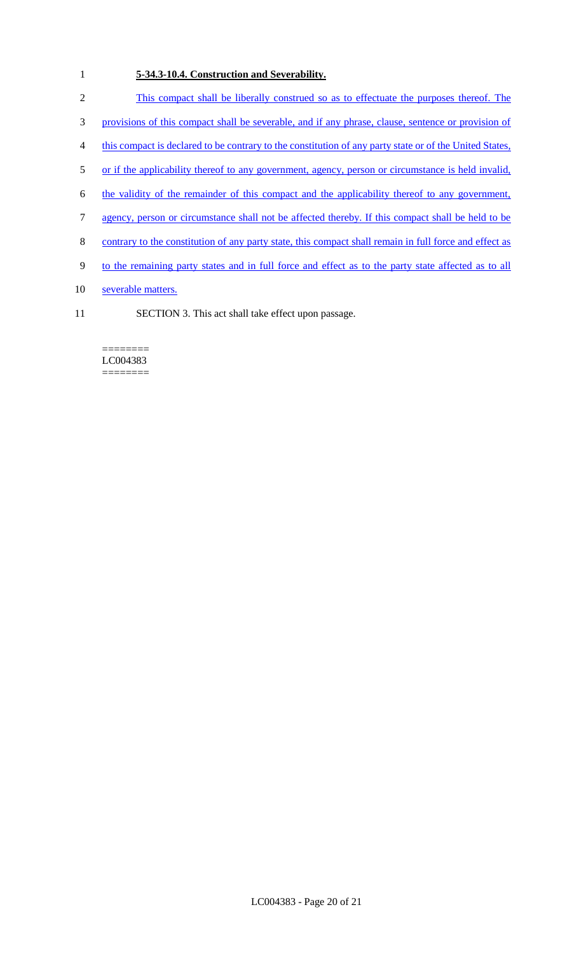# 1 **5-34.3-10.4. Construction and Severability.**

- 2 This compact shall be liberally construed so as to effectuate the purposes thereof. The
- 3 provisions of this compact shall be severable, and if any phrase, clause, sentence or provision of
- 4 this compact is declared to be contrary to the constitution of any party state or of the United States,
- 5 or if the applicability thereof to any government, agency, person or circumstance is held invalid,
- 6 the validity of the remainder of this compact and the applicability thereof to any government,
- 7 agency, person or circumstance shall not be affected thereby. If this compact shall be held to be
- 8 contrary to the constitution of any party state, this compact shall remain in full force and effect as
- 9 to the remaining party states and in full force and effect as to the party state affected as to all
- 10 severable matters.
- 11 SECTION 3. This act shall take effect upon passage.

#### ======== LC004383 ========